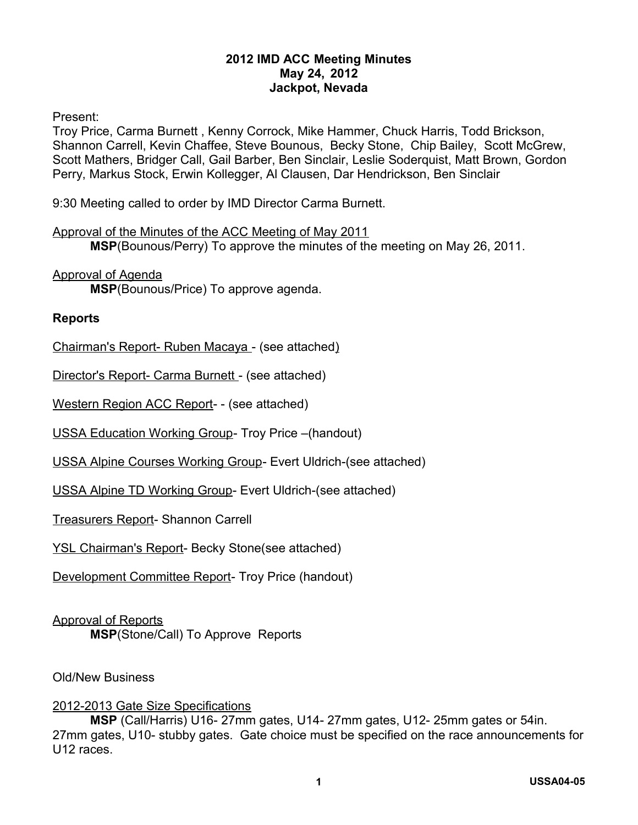### **2012 IMD ACC Meeting Minutes May 24, 2012 Jackpot, Nevada**

Present:

Troy Price, Carma Burnett , Kenny Corrock, Mike Hammer, Chuck Harris, Todd Brickson, Shannon Carrell, Kevin Chaffee, Steve Bounous, Becky Stone, Chip Bailey, Scott McGrew, Scott Mathers, Bridger Call, Gail Barber, Ben Sinclair, Leslie Soderquist, Matt Brown, Gordon Perry, Markus Stock, Erwin Kollegger, Al Clausen, Dar Hendrickson, Ben Sinclair

9:30 Meeting called to order by IMD Director Carma Burnett.

#### Approval of the Minutes of the ACC Meeting of May 2011

**MSP**(Bounous/Perry) To approve the minutes of the meeting on May 26, 2011.

Approval of Agenda

**MSP**(Bounous/Price) To approve agenda.

#### **Reports**

Chairman's Report- Ruben Macaya - (see attached)

Director's Report- Carma Burnett - (see attached)

Western Region ACC Report- - (see attached)

USSA Education Working Group- Troy Price –(handout)

USSA Alpine Courses Working Group- Evert Uldrich-(see attached)

USSA Alpine TD Working Group- Evert Uldrich-(see attached)

Treasurers Report- Shannon Carrell

YSL Chairman's Report- Becky Stone(see attached)

Development Committee Report- Troy Price (handout)

### Approval of Reports

**MSP**(Stone/Call) To Approve Reports

Old/New Business

### 2012-2013 Gate Size Specifications

**MSP** (Call/Harris) U16- 27mm gates, U14- 27mm gates, U12- 25mm gates or 54in. 27mm gates, U10- stubby gates. Gate choice must be specified on the race announcements for U12 races.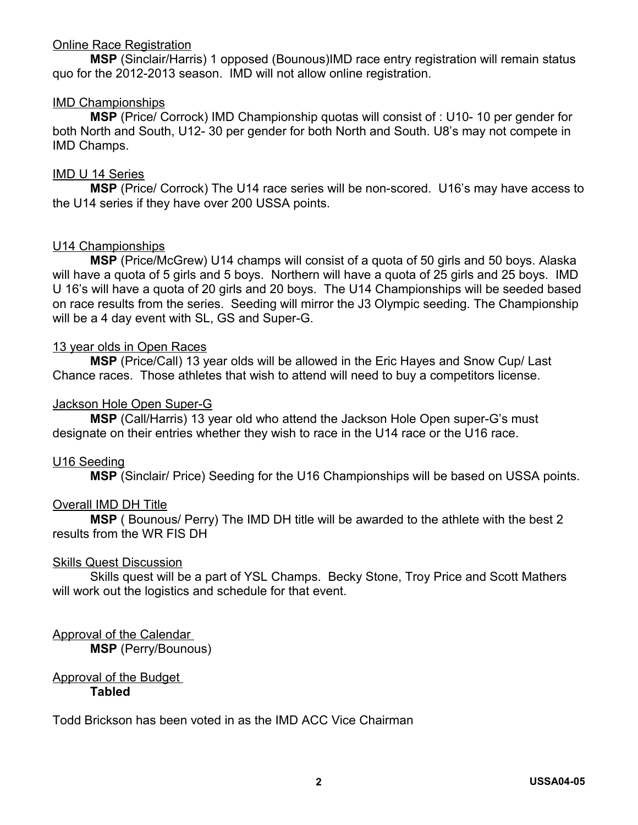### Online Race Registration

**MSP** (Sinclair/Harris) 1 opposed (Bounous)IMD race entry registration will remain status quo for the 2012-2013 season. IMD will not allow online registration.

## IMD Championships

**MSP** (Price/ Corrock) IMD Championship quotas will consist of : U10- 10 per gender for both North and South, U12- 30 per gender for both North and South. U8's may not compete in IMD Champs.

### IMD U 14 Series

**MSP** (Price/ Corrock) The U14 race series will be non-scored. U16's may have access to the U14 series if they have over 200 USSA points.

## U14 Championships

**MSP** (Price/McGrew) U14 champs will consist of a quota of 50 girls and 50 boys. Alaska will have a quota of 5 girls and 5 boys. Northern will have a quota of 25 girls and 25 boys. IMD U 16's will have a quota of 20 girls and 20 boys. The U14 Championships will be seeded based on race results from the series. Seeding will mirror the J3 Olympic seeding. The Championship will be a 4 day event with SL, GS and Super-G.

## 13 year olds in Open Races

**MSP** (Price/Call) 13 year olds will be allowed in the Eric Hayes and Snow Cup/ Last Chance races. Those athletes that wish to attend will need to buy a competitors license.

## Jackson Hole Open Super-G

**MSP** (Call/Harris) 13 year old who attend the Jackson Hole Open super-G's must designate on their entries whether they wish to race in the U14 race or the U16 race.

### U16 Seeding

**MSP** (Sinclair/ Price) Seeding for the U16 Championships will be based on USSA points.

### Overall IMD DH Title

**MSP** ( Bounous/ Perry) The IMD DH title will be awarded to the athlete with the best 2 results from the WR FIS DH

### Skills Quest Discussion

Skills quest will be a part of YSL Champs. Becky Stone, Troy Price and Scott Mathers will work out the logistics and schedule for that event.

# Approval of the Calendar

**MSP** (Perry/Bounous)

#### Approval of the Budget **Tabled**

Todd Brickson has been voted in as the IMD ACC Vice Chairman